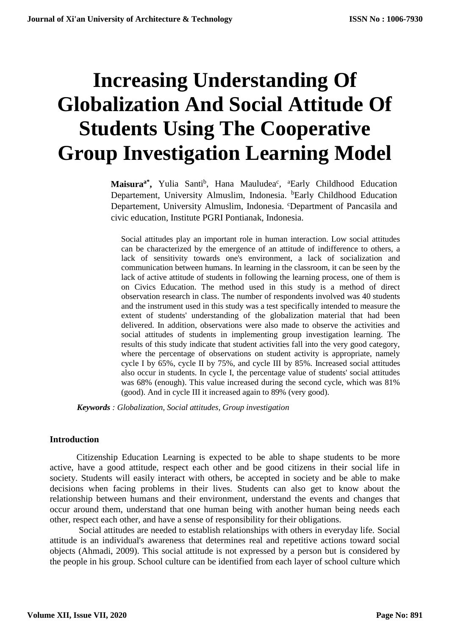# **Increasing Understanding Of Globalization And Social Attitude Of Students Using The Cooperative Group Investigation Learning Model**

Maisura<sup>a\*</sup>, Yulia Santi<sup>b</sup>, Hana Mauludea<sup>c</sup>, <sup>a</sup>Early Childhood Education Departement, University Almuslim, Indonesia. <sup>b</sup>Early Childhood Education Departement, University Almuslim, Indonesia. <sup>c</sup>Department of Pancasila and civic education, Institute PGRI Pontianak, Indonesia.

Social attitudes play an important role in human interaction. Low social attitudes can be characterized by the emergence of an attitude of indifference to others, a lack of sensitivity towards one's environment, a lack of socialization and communication between humans. In learning in the classroom, it can be seen by the lack of active attitude of students in following the learning process, one of them is on Civics Education. The method used in this study is a method of direct observation research in class. The number of respondents involved was 40 students and the instrument used in this study was a test specifically intended to measure the extent of students' understanding of the globalization material that had been delivered. In addition, observations were also made to observe the activities and social attitudes of students in implementing group investigation learning. The results of this study indicate that student activities fall into the very good category, where the percentage of observations on student activity is appropriate, namely cycle I by 65%, cycle II by 75%, and cycle III by 85%. Increased social attitudes also occur in students. In cycle I, the percentage value of students' social attitudes was 68% (enough). This value increased during the second cycle, which was 81% (good). And in cycle III it increased again to 89% (very good).

*Keywords : Globalization, Social attitudes, Group investigation*

#### **Introduction**

Citizenship Education Learning is expected to be able to shape students to be more active, have a good attitude, respect each other and be good citizens in their social life in society. Students will easily interact with others, be accepted in society and be able to make decisions when facing problems in their lives. Students can also get to know about the relationship between humans and their environment, understand the events and changes that occur around them, understand that one human being with another human being needs each other, respect each other, and have a sense of responsibility for their obligations.

Social attitudes are needed to establish relationships with others in everyday life. Social attitude is an individual's awareness that determines real and repetitive actions toward social objects (Ahmadi, 2009). This social attitude is not expressed by a person but is considered by the people in his group. School culture can be identified from each layer of school culture which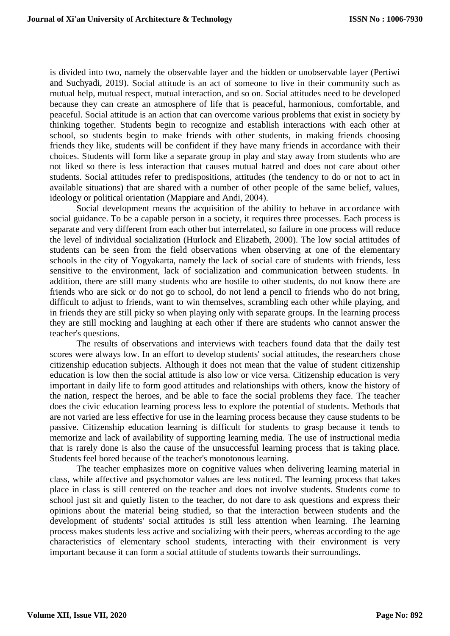is divided into two, namely the observable layer and the hidden or unobservable layer (Pertiwi and Suchyadi, 2019). Social attitude is an act of someone to live in their community such as mutual help, mutual respect, mutual interaction, and so on. Social attitudes need to be developed because they can create an atmosphere of life that is peaceful, harmonious, comfortable, and peaceful. Social attitude is an action that can overcome various problems that exist in society by thinking together. Students begin to recognize and establish interactions with each other at school, so students begin to make friends with other students, in making friends choosing friends they like, students will be confident if they have many friends in accordance with their choices. Students will form like a separate group in play and stay away from students who are not liked so there is less interaction that causes mutual hatred and does not care about other students. Social attitudes refer to predispositions, attitudes (the tendency to do or not to act in available situations) that are shared with a number of other people of the same belief, values, ideology or political orientation (Mappiare and Andi, 2004).

Social development means the acquisition of the ability to behave in accordance with social guidance. To be a capable person in a society, it requires three processes. Each process is separate and very different from each other but interrelated, so failure in one process will reduce the level of individual socialization (Hurlock and Elizabeth, 2000). The low social attitudes of students can be seen from the field observations when observing at one of the elementary schools in the city of Yogyakarta, namely the lack of social care of students with friends, less sensitive to the environment, lack of socialization and communication between students. In addition, there are still many students who are hostile to other students, do not know there are friends who are sick or do not go to school, do not lend a pencil to friends who do not bring, difficult to adjust to friends, want to win themselves, scrambling each other while playing, and in friends they are still picky so when playing only with separate groups. In the learning process they are still mocking and laughing at each other if there are students who cannot answer the teacher's questions.

The results of observations and interviews with teachers found data that the daily test scores were always low. In an effort to develop students' social attitudes, the researchers chose citizenship education subjects. Although it does not mean that the value of student citizenship education is low then the social attitude is also low or vice versa. Citizenship education is very important in daily life to form good attitudes and relationships with others, know the history of the nation, respect the heroes, and be able to face the social problems they face. The teacher does the civic education learning process less to explore the potential of students. Methods that are not varied are less effective for use in the learning process because they cause students to be passive. Citizenship education learning is difficult for students to grasp because it tends to memorize and lack of availability of supporting learning media. The use of instructional media that is rarely done is also the cause of the unsuccessful learning process that is taking place. Students feel bored because of the teacher's monotonous learning.

The teacher emphasizes more on cognitive values when delivering learning material in class, while affective and psychomotor values are less noticed. The learning process that takes place in class is still centered on the teacher and does not involve students. Students come to school just sit and quietly listen to the teacher, do not dare to ask questions and express their opinions about the material being studied, so that the interaction between students and the development of students' social attitudes is still less attention when learning. The learning process makes students less active and socializing with their peers, whereas according to the age characteristics of elementary school students, interacting with their environment is very important because it can form a social attitude of students towards their surroundings.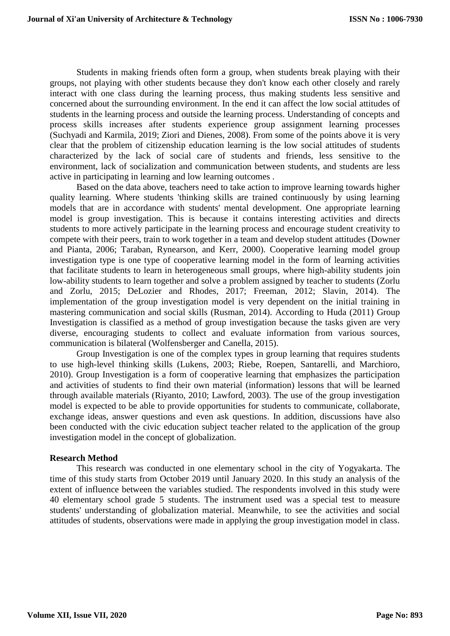Students in making friends often form a group, when students break playing with their groups, not playing with other students because they don't know each other closely and rarely interact with one class during the learning process, thus making students less sensitive and concerned about the surrounding environment. In the end it can affect the low social attitudes of students in the learning process and outside the learning process. Understanding of concepts and process skills increases after students experience group assignment learning processes (Suchyadi and Karmila, 2019; Ziori and Dienes, 2008). From some of the points above it is very clear that the problem of citizenship education learning is the low social attitudes of students characterized by the lack of social care of students and friends, less sensitive to the environment, lack of socialization and communication between students, and students are less active in participating in learning and low learning outcomes .

Based on the data above, teachers need to take action to improve learning towards higher quality learning. Where students 'thinking skills are trained continuously by using learning models that are in accordance with students' mental development. One appropriate learning model is group investigation. This is because it contains interesting activities and directs students to more actively participate in the learning process and encourage student creativity to compete with their peers, train to work together in a team and develop student attitudes (Downer and Pianta, 2006; Taraban, Rynearson, and Kerr, 2000). Cooperative learning model group investigation type is one type of cooperative learning model in the form of learning activities that facilitate students to learn in heterogeneous small groups, where high-ability students join low-ability students to learn together and solve a problem assigned by teacher to students (Zorlu and Zorlu, 2015; DeLozier and Rhodes, 2017; Freeman, 2012; Slavin, 2014). The implementation of the group investigation model is very dependent on the initial training in mastering communication and social skills (Rusman, 2014). According to Huda (2011) Group Investigation is classified as a method of group investigation because the tasks given are very diverse, encouraging students to collect and evaluate information from various sources, communication is bilateral (Wolfensberger and Canella, 2015).

Group Investigation is one of the complex types in group learning that requires students to use high-level thinking skills (Lukens, 2003; Riebe, Roepen, Santarelli, and Marchioro, 2010). Group Investigation is a form of cooperative learning that emphasizes the participation and activities of students to find their own material (information) lessons that will be learned through available materials (Riyanto, 2010; Lawford, 2003). The use of the group investigation model is expected to be able to provide opportunities for students to communicate, collaborate, exchange ideas, answer questions and even ask questions. In addition, discussions have also been conducted with the civic education subject teacher related to the application of the group investigation model in the concept of globalization.

# **Research Method**

This research was conducted in one elementary school in the city of Yogyakarta. The time of this study starts from October 2019 until January 2020. In this study an analysis of the extent of influence between the variables studied. The respondents involved in this study were 40 elementary school grade 5 students. The instrument used was a special test to measure students' understanding of globalization material. Meanwhile, to see the activities and social attitudes of students, observations were made in applying the group investigation model in class.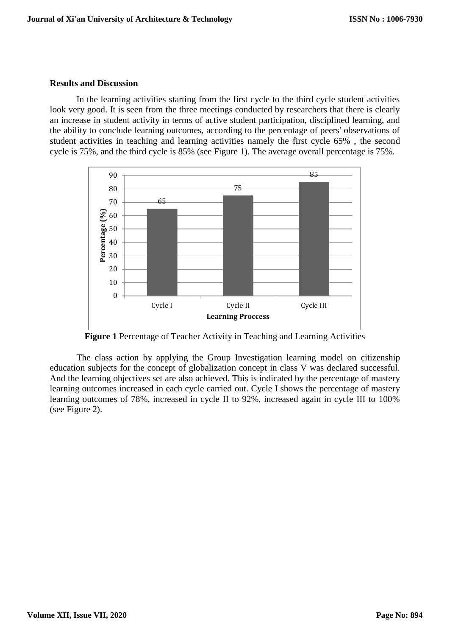### **Results and Discussion**

In the learning activities starting from the first cycle to the third cycle student activities look very good. It is seen from the three meetings conducted by researchers that there is clearly an increase in student activity in terms of active student participation, disciplined learning, and the ability to conclude learning outcomes, according to the percentage of peers' observations of student activities in teaching and learning activities namely the first cycle 65% , the second cycle is 75%, and the third cycle is 85% (see Figure 1). The average overall percentage is 75%.



**Figure 1** Percentage of Teacher Activity in Teaching and Learning Activities

The class action by applying the Group Investigation learning model on citizenship education subjects for the concept of globalization concept in class V was declared successful. And the learning objectives set are also achieved. This is indicated by the percentage of mastery learning outcomes increased in each cycle carried out. Cycle I shows the percentage of mastery learning outcomes of 78%, increased in cycle II to 92%, increased again in cycle III to 100% (see Figure 2).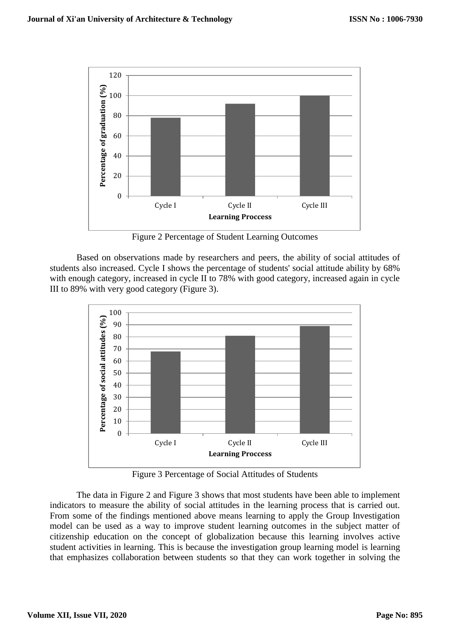

Figure 2 Percentage of Student Learning Outcomes

Based on observations made by researchers and peers, the ability of social attitudes of students also increased. Cycle I shows the percentage of students' social attitude ability by 68% with enough category, increased in cycle II to 78% with good category, increased again in cycle III to 89% with very good category (Figure 3).



Figure 3 Percentage of Social Attitudes of Students

The data in Figure 2 and Figure 3 shows that most students have been able to implement indicators to measure the ability of social attitudes in the learning process that is carried out. From some of the findings mentioned above means learning to apply the Group Investigation model can be used as a way to improve student learning outcomes in the subject matter of citizenship education on the concept of globalization because this learning involves active student activities in learning. This is because the investigation group learning model is learning that emphasizes collaboration between students so that they can work together in solving the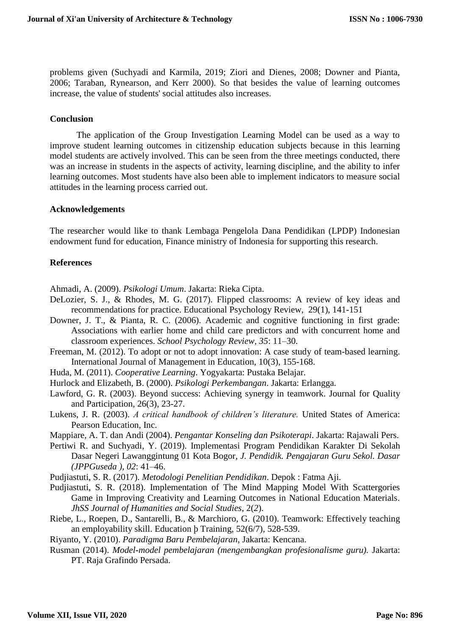problems given (Suchyadi and Karmila, 2019; Ziori and Dienes, 2008; Downer and Pianta, 2006; Taraban, Rynearson, and Kerr 2000). So that besides the value of learning outcomes increase, the value of students' social attitudes also increases.

### **Conclusion**

The application of the Group Investigation Learning Model can be used as a way to improve student learning outcomes in citizenship education subjects because in this learning model students are actively involved. This can be seen from the three meetings conducted, there was an increase in students in the aspects of activity, learning discipline, and the ability to infer learning outcomes. Most students have also been able to implement indicators to measure social attitudes in the learning process carried out.

# **Acknowledgements**

The researcher would like to thank Lembaga Pengelola Dana Pendidikan (LPDP) Indonesian endowment fund for education, Finance ministry of Indonesia for supporting this research.

# **References**

Ahmadi, A. (2009). *Psikologi Umum*. Jakarta: Rieka Cipta.

- DeLozier, S. J., & Rhodes, M. G. (2017). Flipped classrooms: A review of key ideas and recommendations for practice. Educational Psychology Review, 29(1), 141-151
- Downer, J. T., & Pianta, R. C. (2006). Academic and cognitive functioning in first grade: Associations with earlier home and child care predictors and with concurrent home and classroom experiences. *School Psychology Review, 35*: 11–30.
- Freeman, M. (2012). To adopt or not to adopt innovation: A case study of team-based learning. International Journal of Management in Education, 10(3), 155-168.
- Huda, M. (2011). *Cooperative Learning*. Yogyakarta: Pustaka Belajar.
- Hurlock and Elizabeth, B. (2000). *Psikologi Perkembangan*. Jakarta: Erlangga.
- Lawford, G. R. (2003). Beyond success: Achieving synergy in teamwork. Journal for Quality and Participation, 26(3), 23-27.
- Lukens, J. R. (2003). *A critical handbook of children's literature.* United States of America: Pearson Education, Inc.

Mappiare, A. T. dan Andi (2004). *Pengantar Konseling dan Psikoterapi*. Jakarta: Rajawali Pers.

- Pertiwi R. and Suchyadi, Y. (2019). Implementasi Program Pendidikan Karakter Di Sekolah Dasar Negeri Lawanggintung 01 Kota Bogor, *J. Pendidik. Pengajaran Guru Sekol. Dasar (JPPGuseda )*, *02*: 41–46.
- Pudjiastuti, S. R. (2017). *Metodologi Penelitian Pendidikan*. Depok : Fatma Aji.
- Pudjiastuti, S. R. (2018). Implementation of The Mind Mapping Model With Scattergories Game in Improving Creativity and Learning Outcomes in National Education Materials*. JhSS Journal of Humanities and Social Studies*, 2(*2*).
- Riebe, L., Roepen, D., Santarelli, B., & Marchioro, G. (2010). Teamwork: Effectively teaching an employability skill. Education þ Training, 52(6/7), 528-539.
- Riyanto, Y. (2010). *Paradigma Baru Pembelajaran*, Jakarta: Kencana.
- Rusman (2014). *Model-model pembelajaran (mengembangkan profesionalisme guru).* Jakarta: PT. Raja Grafindo Persada.